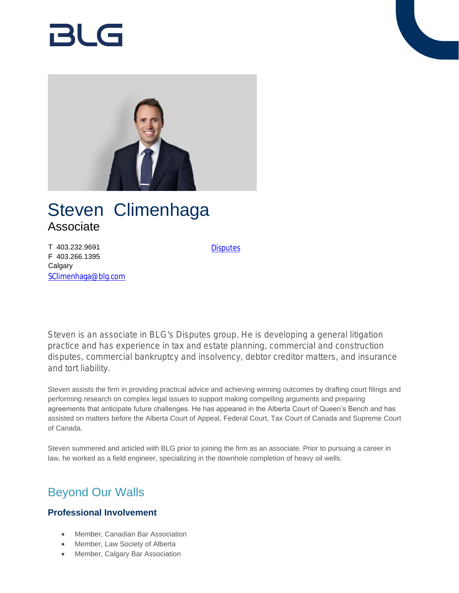# RI G



# Steven Climenhaga Associate

T 403.232.9691 F 403.266.1395 **Calgary** [SClimenhaga@blg.com](mailto:SClimenhaga@blg.com)

**[Disputes](https://www.blg.com/en/services/practice-areas/disputes)** 

Steven is an associate in BLG's Disputes group. He is developing a general litigation practice and has experience in tax and estate planning, commercial and construction disputes, commercial bankruptcy and insolvency, debtor creditor matters, and insurance and tort liability.

Steven assists the firm in providing practical advice and achieving winning outcomes by drafting court filings and performing research on complex legal issues to support making compelling arguments and preparing agreements that anticipate future challenges. He has appeared in the Alberta Court of Queen's Bench and has assisted on matters before the Alberta Court of Appeal, Federal Court, Tax Court of Canada and Supreme Court of Canada.

Steven summered and articled with BLG prior to joining the firm as an associate. Prior to pursuing a career in law, he worked as a field engineer, specializing in the downhole completion of heavy oil wells.

## Beyond Our Walls

### **Professional Involvement**

- Member, Canadian Bar Association
- Member, Law Society of Alberta
- Member, Calgary Bar Association